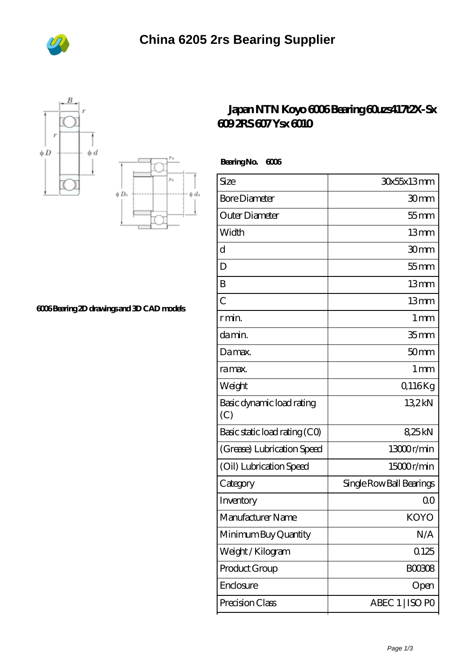





## **[6006 Bearing 2D drawings and 3D CAD models](https://m.bi-countytransitway.com/pic-820867.html)**

## **[Japan NTN Koyo 6006 Bearing 60uzs417t2X-Sx](https://m.bi-countytransitway.com/6203lu-bearing/koyo-6006.html) [609 2RS 607 Ysx 6010](https://m.bi-countytransitway.com/6203lu-bearing/koyo-6006.html)**

 **Bearing No. 6006**

| Size                             | 30x55x13mm               |
|----------------------------------|--------------------------|
| <b>Bore Diameter</b>             | 30mm                     |
| Outer Diameter                   | $55$ mm                  |
| Width                            | 13mm                     |
| d                                | 30mm                     |
| D                                | $55$ mm                  |
| B                                | 13mm                     |
| $\overline{C}$                   | 13mm                     |
| r min.                           | 1 <sub>mm</sub>          |
| da min.                          | 35 <sub>mm</sub>         |
| Damax.                           | 50 <sub>mm</sub>         |
| ra max.                          | 1 <sub>mm</sub>          |
| Weight                           | Q116Kg                   |
| Basic dynamic load rating<br>(C) | 132kN                    |
| Basic static load rating (CO)    | 825kN                    |
| (Grease) Lubrication Speed       | 13000r/min               |
| (Oil) Lubrication Speed          | 15000r/min               |
| Category                         | Single Row Ball Bearings |
| Inventory                        | Q0                       |
| Manufacturer Name                | KOYO                     |
| Minimum Buy Quantity             | N/A                      |
| Weight/Kilogram                  | 0.125                    |
| Product Group                    | <b>BOO3O8</b>            |
| Enclosure                        | Open                     |
| Precision Class                  | ABEC 1   ISO PO          |
|                                  |                          |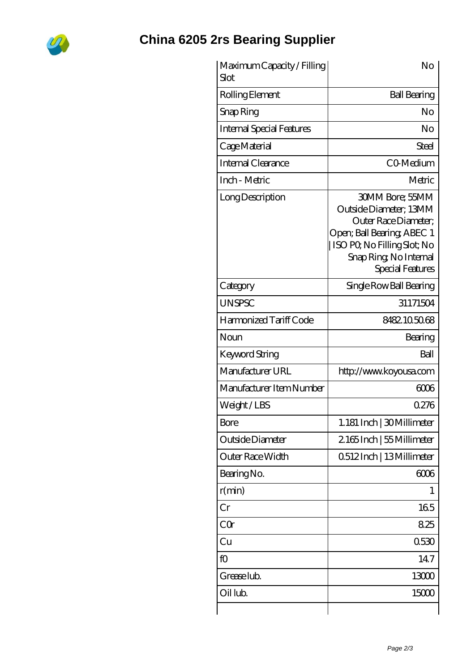

## **[China 6205 2rs Bearing Supplier](https://m.bi-countytransitway.com)**

| Maximum Capacity / Filling<br>Slot | No                                                                                                                                                                                  |
|------------------------------------|-------------------------------------------------------------------------------------------------------------------------------------------------------------------------------------|
| Rolling Element                    | <b>Ball Bearing</b>                                                                                                                                                                 |
| Snap Ring                          | No                                                                                                                                                                                  |
| <b>Internal Special Features</b>   | No                                                                                                                                                                                  |
| Cage Material                      | Steel                                                                                                                                                                               |
| Internal Clearance                 | CO-Medium                                                                                                                                                                           |
| Inch - Metric                      | Metric                                                                                                                                                                              |
| Long Description                   | <b>30MM Bore: 55MM</b><br>Outside Diameter; 13MM<br>Outer Race Diameter:<br>Open; Ball Bearing; ABEC 1<br>ISO PO, No Filling Slot; No<br>Snap Ring, No Internal<br>Special Features |
| Category                           | Single Row Ball Bearing                                                                                                                                                             |
| <b>UNSPSC</b>                      | 31171504                                                                                                                                                                            |
| Harmonized Tariff Code             | 8482105068                                                                                                                                                                          |
| Noun                               | Bearing                                                                                                                                                                             |
| <b>Keyword String</b>              | Ball                                                                                                                                                                                |
| Manufacturer URL                   | http://www.koyousa.com                                                                                                                                                              |
| Manufacturer Item Number           | 6006                                                                                                                                                                                |
| Weight/LBS                         | 0276                                                                                                                                                                                |
| <b>Bore</b>                        | 1.181 Inch   30 Millimeter                                                                                                                                                          |
| Outside Diameter                   | 2165Inch   55 Millimeter                                                                                                                                                            |
| Outer Race Width                   | 0512Inch   13Millimeter                                                                                                                                                             |
| Bearing No.                        | 6006                                                                                                                                                                                |
| r(min)                             | T                                                                                                                                                                                   |
| Cr                                 | 165                                                                                                                                                                                 |
| CQr                                | 825                                                                                                                                                                                 |
| Cu                                 | 0530                                                                                                                                                                                |
| fO                                 | 147                                                                                                                                                                                 |
| Grease lub.                        | 13000                                                                                                                                                                               |
| Oil lub.                           | 15000                                                                                                                                                                               |
|                                    |                                                                                                                                                                                     |